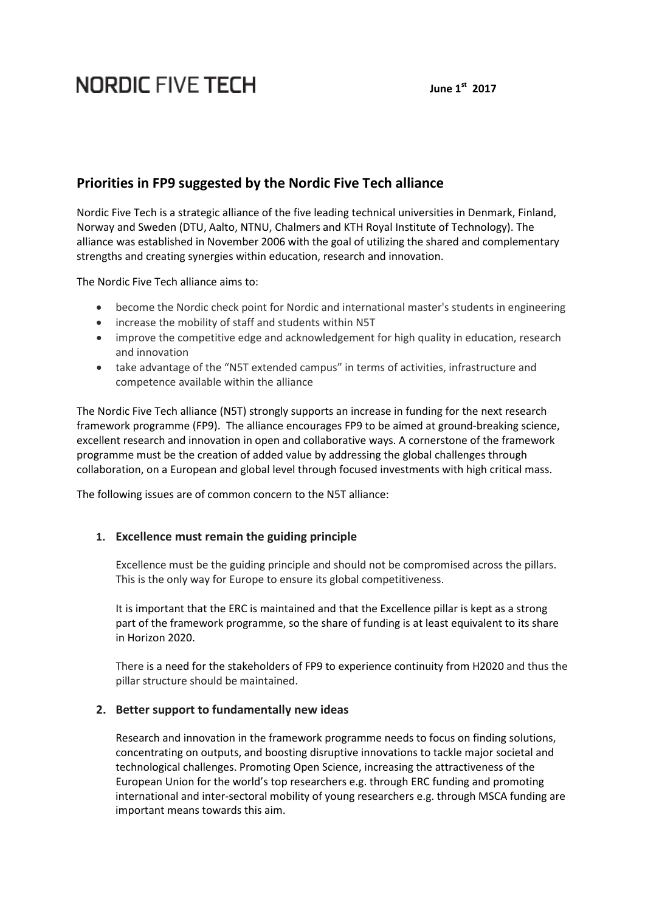# **NORDIC FIVE TECH**

#### **June 1st 2017**

# **Priorities in FP9 suggested by the Nordic Five Tech alliance**

Nordic Five Tech is a strategic alliance of the five leading technical universities in Denmark, Finland, Norway and Sweden (DTU, Aalto, NTNU, Chalmers and KTH Royal Institute of Technology). The alliance was established in November 2006 with the goal of utilizing the shared and complementary strengths and creating synergies within education, research and innovation.

The Nordic Five Tech alliance aims to:

- become the Nordic check point for Nordic and international master's students in engineering
- increase the mobility of staff and students within N5T
- improve the competitive edge and acknowledgement for high quality in education, research and innovation
- take advantage of the "N5T extended campus" in terms of activities, infrastructure and competence available within the alliance

The Nordic Five Tech alliance (N5T) strongly supports an increase in funding for the next research framework programme (FP9). The alliance encourages FP9 to be aimed at ground-breaking science, excellent research and innovation in open and collaborative ways. A cornerstone of the framework programme must be the creation of added value by addressing the global challenges through collaboration, on a European and global level through focused investments with high critical mass.

The following issues are of common concern to the N5T alliance:

#### **1. Excellence must remain the guiding principle**

Excellence must be the guiding principle and should not be compromised across the pillars. This is the only way for Europe to ensure its global competitiveness.

It is important that the ERC is maintained and that the Excellence pillar is kept as a strong part of the framework programme, so the share of funding is at least equivalent to its share in Horizon 2020.

There is a need for the stakeholders of FP9 to experience continuity from H2020 and thus the pillar structure should be maintained.

## **2. Better support to fundamentally new ideas**

Research and innovation in the framework programme needs to focus on finding solutions, concentrating on outputs, and boosting disruptive innovations to tackle major societal and technological challenges. Promoting Open Science, increasing the attractiveness of the European Union for the world's top researchers e.g. through ERC funding and promoting international and inter-sectoral mobility of young researchers e.g. through MSCA funding are important means towards this aim.